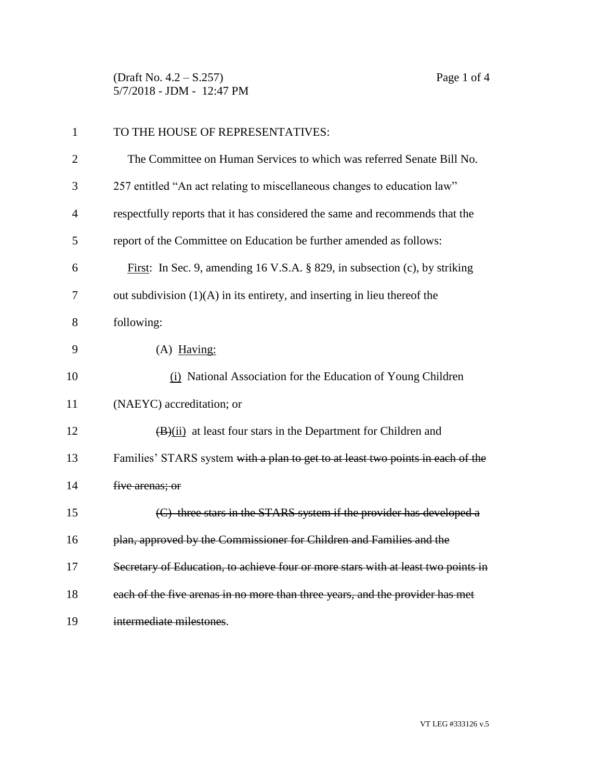(Draft No. 4.2 – S.257) Page 1 of 4 5/7/2018 - JDM - 12:47 PM

| $\mathbf{1}$   | TO THE HOUSE OF REPRESENTATIVES:                                                  |
|----------------|-----------------------------------------------------------------------------------|
| $\overline{2}$ | The Committee on Human Services to which was referred Senate Bill No.             |
| 3              | 257 entitled "An act relating to miscellaneous changes to education law"          |
| $\overline{4}$ | respectfully reports that it has considered the same and recommends that the      |
| 5              | report of the Committee on Education be further amended as follows:               |
| 6              | First: In Sec. 9, amending 16 V.S.A. § 829, in subsection (c), by striking        |
| 7              | out subdivision $(1)(A)$ in its entirety, and inserting in lieu thereof the       |
| 8              | following:                                                                        |
| 9              | $(A)$ Having:                                                                     |
| 10             | (i) National Association for the Education of Young Children                      |
| 11             | (NAEYC) accreditation; or                                                         |
| 12             | $\overline{(B)}$ (ii) at least four stars in the Department for Children and      |
| 13             | Families' STARS system with a plan to get to at least two points in each of the   |
| 14             | five arenas; or                                                                   |
| 15             | (C) three stars in the STARS system if the provider has developed a               |
| 16             | plan, approved by the Commissioner for Children and Families and the              |
| 17             | Secretary of Education, to achieve four or more stars with at least two points in |
| 18             | each of the five arenas in no more than three years, and the provider has met     |
| 19             | intermediate milestones.                                                          |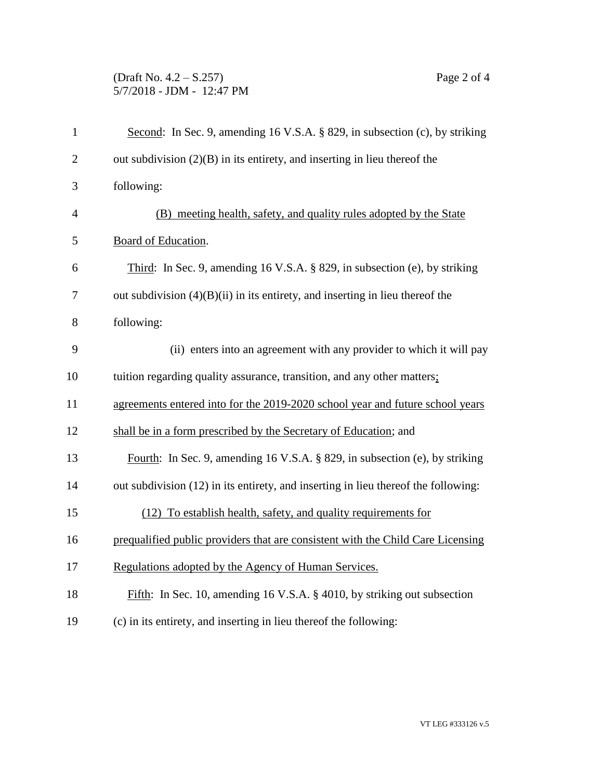## (Draft No. 4.2 – S.257) Page 2 of 4 5/7/2018 - JDM - 12:47 PM

| $\mathbf{1}$   | Second: In Sec. 9, amending 16 V.S.A. § 829, in subsection (c), by striking        |
|----------------|------------------------------------------------------------------------------------|
| $\overline{2}$ | out subdivision $(2)(B)$ in its entirety, and inserting in lieu thereof the        |
| 3              | following:                                                                         |
| $\overline{4}$ | (B) meeting health, safety, and quality rules adopted by the State                 |
| 5              | Board of Education.                                                                |
| 6              | Third: In Sec. 9, amending 16 V.S.A. § 829, in subsection (e), by striking         |
| 7              | out subdivision $(4)(B)(ii)$ in its entirety, and inserting in lieu thereof the    |
| 8              | following:                                                                         |
| 9              | (ii) enters into an agreement with any provider to which it will pay               |
| 10             | tuition regarding quality assurance, transition, and any other matters;            |
| 11             | agreements entered into for the 2019-2020 school year and future school years      |
| 12             | shall be in a form prescribed by the Secretary of Education; and                   |
| 13             | Fourth: In Sec. 9, amending 16 V.S.A. § 829, in subsection (e), by striking        |
| 14             | out subdivision (12) in its entirety, and inserting in lieu thereof the following: |
| 15             | (12) To establish health, safety, and quality requirements for                     |
| 16             | prequalified public providers that are consistent with the Child Care Licensing    |
| 17             | Regulations adopted by the Agency of Human Services.                               |
| 18             | Fifth: In Sec. 10, amending 16 V.S.A. § 4010, by striking out subsection           |
| 19             | (c) in its entirety, and inserting in lieu thereof the following:                  |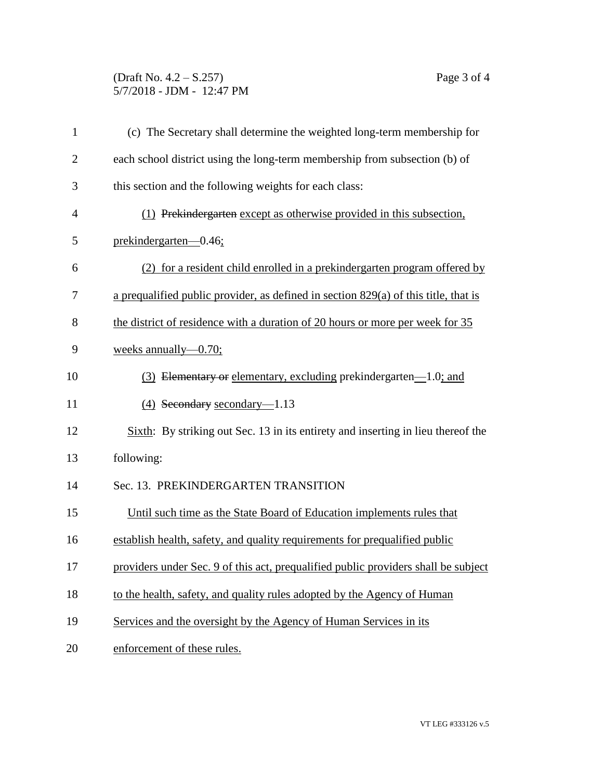## (Draft No. 4.2 – S.257) Page 3 of 4 5/7/2018 - JDM - 12:47 PM

| $\mathbf{1}$   | (c) The Secretary shall determine the weighted long-term membership for               |
|----------------|---------------------------------------------------------------------------------------|
| $\overline{2}$ | each school district using the long-term membership from subsection (b) of            |
| 3              | this section and the following weights for each class:                                |
| $\overline{4}$ | (1) Prekindergarten except as otherwise provided in this subsection,                  |
| 5              | prekindergarten—0.46;                                                                 |
| 6              | (2) for a resident child enrolled in a prekinder garten program offered by            |
| 7              | a prequalified public provider, as defined in section $829(a)$ of this title, that is |
| 8              | the district of residence with a duration of 20 hours or more per week for 35         |
| 9              | weeks annually— $0.70$ ;                                                              |
| 10             | (3) Elementary or elementary, excluding prekindergarten—1.0; and                      |
| 11             | (4) Secondary secondary-1.13                                                          |
| 12             | Sixth: By striking out Sec. 13 in its entirety and inserting in lieu thereof the      |
| 13             | following:                                                                            |
| 14             | Sec. 13. PREKINDERGARTEN TRANSITION                                                   |
| 15             | Until such time as the State Board of Education implements rules that                 |
| 16             | establish health, safety, and quality requirements for prequalified public            |
| 17             | providers under Sec. 9 of this act, prequalified public providers shall be subject    |
| 18             | to the health, safety, and quality rules adopted by the Agency of Human               |
| 19             | Services and the oversight by the Agency of Human Services in its                     |
| 20             | enforcement of these rules.                                                           |